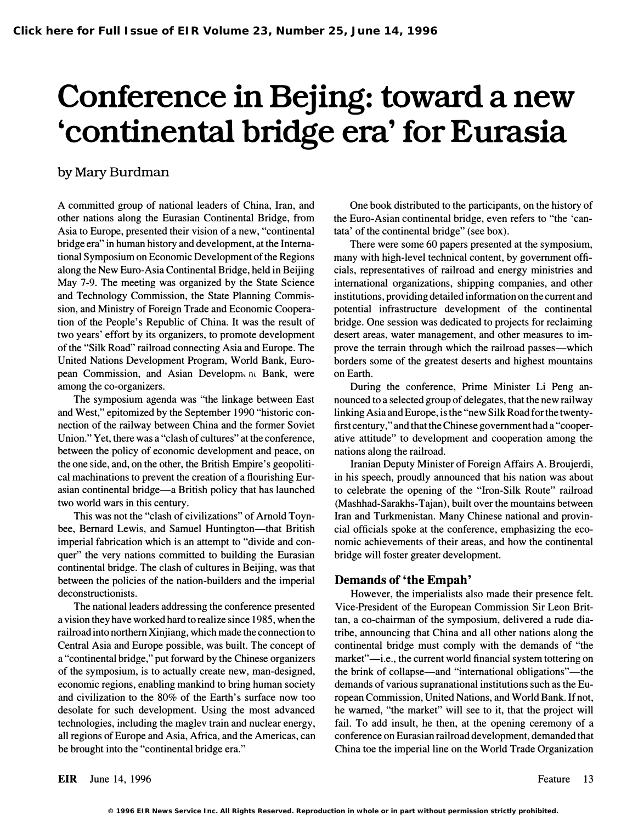# Conference in Bejing: toward a new 'continental bridge era' for Eurasia

# by Mary Burdman

A committed group of national leaders of China, Iran, and other nations along the Eurasian Continental Bridge, from Asia to Europe, presented their vision of a new, "continental bridge era" in human history and development, at the International Symposium on Economic Development of the Regions along the New Euro-Asia Continental Bridge, held in Beijing May 7-9. The meeting was organized by the State Science and Technology Commission, the State Planning Commission, and Ministry of Foreign Trade and Economic Cooperation of the People's Republic of China. It was the result of two years' effort by its organizers, to promote development of the "Silk Road" railroad connecting Asia and Europe. The United Nations Development Program, World Bank, European Commission, and Asian Developm< m Bank, were among the co-organizers.

The symposium agenda was "the linkage between East and West," epitomized by the September 1990 "historic connection of the railway between China and the former Soviet Union." Yet, there was a "clash of cultures" at the conference, between the policy of economic development and peace, on the one side, and, on the other, the British Empire's geopolitical machinations to prevent the creation of a flourishing Eurasian continental bridge-a British policy that has launched two world wars in this century.

This was not the "clash of civilizations" of Arnold Toynbee, Bernard Lewis, and Samuel Huntington-that British imperial fabrication which is an attempt to "divide and conquer" the very nations committed to building the Eurasian continental bridge. The clash of cultures in Beijing, was that between the policies of the nation-builders and the imperial deconstructionists.

The national leaders addressing the conference presented a vision they have worked hard to realize since 1985, when the railroad into northern Xinjiang, which made the connection to Central Asia and Europe possible, was built. The concept of a "continental bridge," put forward by the Chinese organizers of the symposium, is to actually create new, man-designed, economic regions, enabling mankind to bring human society and civilization to the 80% of the Earth's surface now too desolate for such development. Using the most advanced technologies, including the maglev train and nuclear energy, all regions of Europe and Asia, Africa, and the Americas, can be brought into the "continental bridge era."

One book distributed to the participants, on the history of the Euro-Asian continental bridge, even refers to "the 'cantata' of the continental bridge" (see box).

There were some 60 papers presented at the symposium, many with high-level technical content, by government officials, representatives of railroad and energy ministries and international organizations, shipping companies, and other institutions, providing detailed information on the current and potential infrastructure development of the continental bridge. One session was dedicated to projects for reclaiming desert areas, water management, and other measures to improve the terrain through which the railroad passes—which borders some of the greatest deserts and highest mountains on Earth.

During the conference, Prime Minister Li Peng announced to a selected group of delegates, that the new railway linking Asia and Europe, is the "new Silk Road for the twentyfirst century," and that the Chinese government had a "cooperative attitude" to development and cooperation among the nations along the railroad.

Iranian Deputy Minister of Foreign Affairs A. Broujerdi, in his speech, proudly announced that his nation was about to celebrate the opening of the "Iron-Silk Route" railroad (Mashhad-Sarakhs-Tajan), built over the mountains between Iran and Turkmenistan. Many Chinese national and provincial officials spoke at the conference, emphasizing the economic achievements of their areas, and how the continental bridge will foster greater development.

## Demands of 'the Empah'

However, the imperialists also made their presence felt. Vice-President of the European Commission Sir Leon Brittan, a co-chairman of the symposium, delivered a rude diatribe, announcing that China and all other nations along the continental bridge must comply with the demands of "the market"—i.e., the current world financial system tottering on the brink of collapse—and "international obligations"—the demands of various supranational institutions such as the European Commission, United Nations, and World Bank. If not, he warned, "the market" will see to it, that the project will fail. To add insult, he then, at the opening ceremony of a conference on Eurasian railroad development, demanded that China toe the imperial line on the World Trade Organization

EIR June 14, 1996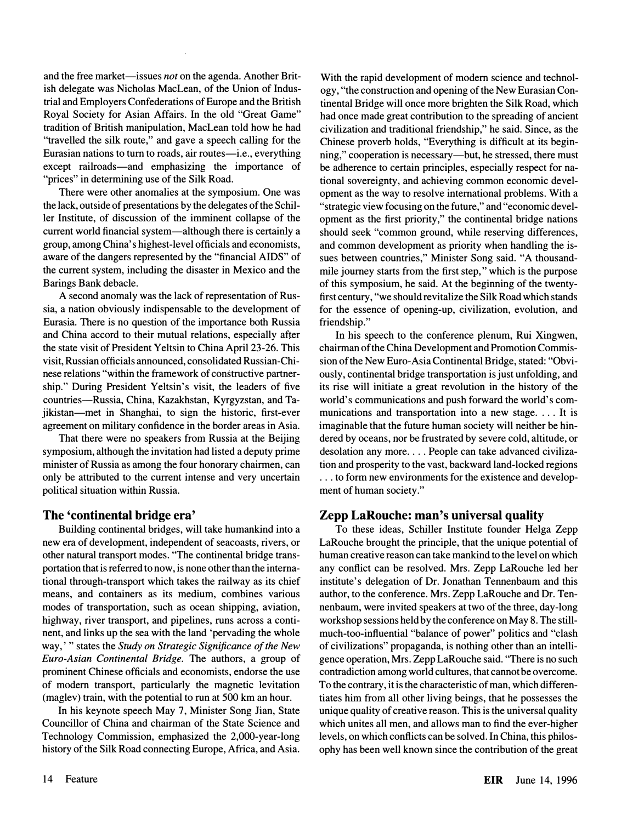and the free market—issues *not* on the agenda. Another British delegate was Nicholas MacLean, of the Union of Industrial and Employers Confederations of Europe and the British Royal Society for Asian Affairs. In the old "Great Game" tradition of British manipulation, MacLean told how he had "travelled the silk route," and gave a speech calling for the Eurasian nations to turn to roads, air routes-i.e., everything except railroads—and emphasizing the importance of "prices" in determining use of the Silk Road.

There were other anomalies at the symposium. One was the lack, outside of presentations by the delegates of the Schiller Institute, of discussion of the imminent collapse of the current world financial system-although there is certainly a group, among China's highest-level officials and economists, aware of the dangers represented by the "financial AIDS" of the current system, including the disaster in Mexico and the Barings Bank debacle.

A second anomaly was the lack of representation of Russia, a nation obviously indispensable to the development of Eurasia. There is no question of the importance both Russia and China accord to their mutual relations, especially after the state visit of President Yeltsin to China April 23-26. This visit, Russian officials announced, consolidated Russian-Chinese relations "within the framework of constructive partnership." During President Yeltsin's visit, the leaders of five countries-Russia, China, Kazakhstan, Kyrgyzstan, and Tajikistan—met in Shanghai, to sign the historic, first-ever agreement on military confidence in the border areas in Asia.

That there were no speakers from Russia at the Beijing symposium, although the invitation had listed a deputy prime minister of Russia as among the four honorary chairmen, can only be attributed to the current intense and very uncertain political situation within Russia.

#### The 'continental bridge era'

Building continental bridges, will take humankind into a new era of development, independent of seacoasts, rivers, or other natural transport modes. "The continental bridge transportation that is referred to now, is none other than the international through-transport which takes the railway as its chief means, and containers as its medium, combines various modes of transportation, such as ocean shipping, aviation, highway, river transport, and pipelines, runs across a continent, and links up the sea with the land 'pervading the whole way,'" states the Study on Strategic Significance of the New Euro-Asian Continental Bridge. The authors, a group of prominent Chinese officials and economists, endorse the use of modem transport, particularly the magnetic levitation (maglev) train, with the potential to run at 500 km an hour.

In his keynote speech May 7, Minister Song Jian, State Councillor of China and chairman of the State Science and Technology Commission, emphasized the 2,000-year-long history of the Silk Road connecting Europe, Africa, and Asia. With the rapid development of modem science and technology, "the construction and opening of the New Eurasian Continental Bridge will once more brighten the Silk Road, which had once made great contribution to the spreading of ancient civilization and traditional friendship," he said. Since, as the Chinese proverb holds, "Everything is difficult at its beginning," cooperation is necessary—but, he stressed, there must be adherence to certain principles, especially respect for national sovereignty, and achieving common economic development as the way to resolve international problems. With a "strategic view focusing on the future," and "economic development as the first priority," the continental bridge nations should seek "common ground, while reserving differences, and common development as priority when handling the issues between countries," Minister Song said. "A thousandmile journey starts from the first step," which is the purpose of this symposium, he said. At the beginning of the twentyfirst century, "we should revitalize the Silk Road which stands for the essence of opening-up, civilization, evolution, and friendship."

In his speech to the conference plenum, Rui Xingwen, chairman of the China Development and Promotion Commission of the New Euro-Asia Continental Bridge, stated: "Obviously, continental bridge transportation is just unfolding, and its rise will initiate a great revolution in the history of the world's communications and push forward the world's communications and transportation into a new stage. . .. It is imaginable that the future human society will neither be hindered by oceans, nor be frustrated by severe cold, altitude, or desolation any more.... People can take advanced civilization and prosperity to the vast, backward land-locked regions ... to form new environments for the existence and development of human society."

## Zepp LaRouche: man's universal quality

To these ideas, Schiller Institute founder Helga Zepp LaRouche brought the principle, that the unique potential of human creative reason can take mankind to the level on which any conflict can be resolved. Mrs. Zepp LaRouche led her institute's delegation of Dr. Jonathan Tennenbaum and this author, to the conference. Mrs. Zepp LaRouche and Dr. Tennenbaum, were invited speakers at two of the three, day-long workshop sessions held by the conference on May 8. The stillmuch-too-influential "balance of power" politics and "clash of civilizations" propaganda, is nothing other than an intelligence operation, Mrs. Zepp LaRouche said. "There is no such contradiction among world cultures, that cannot be overcome. To the contrary, it is the characteristic of man, which differentiates him from all other living beings, that he possesses the unique quality of creative reason. This is the universal quality which unites all men, and allows man to find the ever-higher levels, on which conflicts can be solved. In China, this philosophy has been well known since the contribution of the great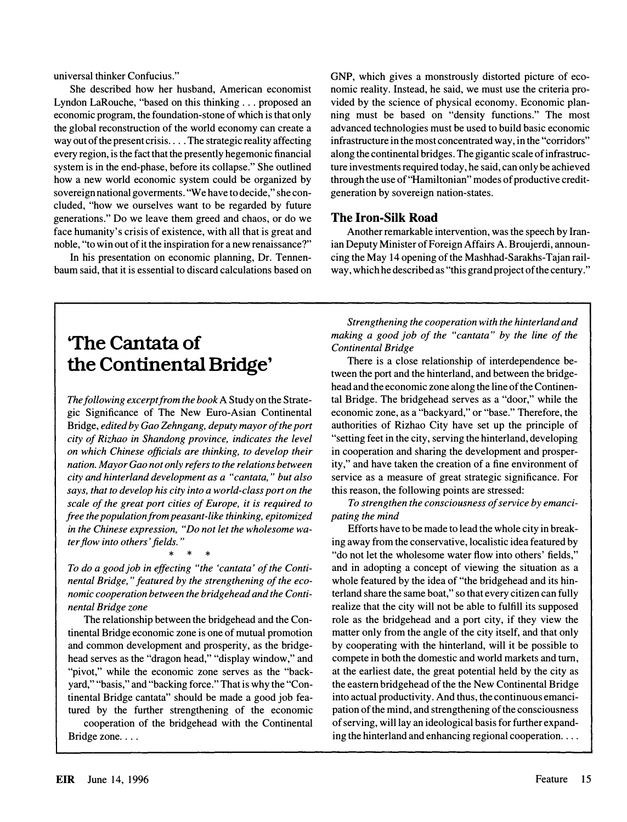universal thinker Confucius."

She described how her husband, American economist Lyndon LaRouche, "based on this thinking ... proposed an economic program, the foundation-stone of which is that only the global reconstruction of the world economy can create a way out of the present crisis .... The strategic reality affecting every region, is the fact that the presently hegemonic financial system is in the end-phase, before its collapse." She outlined how a new world economic system could be organized by sovereign national goverments. "We have to decide, " she concluded, "how we ourselves want to be regarded by future generations." Do we leave them greed and chaos, or do we face humanity's crisis of existence, with all that is great and noble, "to win out of it the inspiration for a new renaissance?"

In his presentation on economic planning, Dr. Tennenbaum said, that it is essential to discard calculations based on GNP, which gives a monstrously distorted picture of economic reality. Instead, he said, we must use the criteria provided by the science of physical economy. Economic planning must be based on "density functions." The most advanced technologies must be used to build basic economic infrastructure in the most concentrated way, in the "corridors" along the continental bridges. The gigantic scale of infrastructure investments required today, he said, can only be achieved through the use of "Hamiltonian " modes of productive creditgeneration by sovereign nation-states.

#### The Iron-Silk Road

Another remarkable intervention, was the speech by Iranian Deputy Minister of Foreign Affairs A. Broujerdi, announcing the May 14 opening of the Mashhad-Sarakhs-Tajan railway, which he described as "this grand project of the century."

# 'The Cantata of the Continental Bridge'

The following excerpt from the book A Study on the Strategic Significance of The New Euro-Asian Continental Bridge, edited by Gao Zehngang, deputy mayor of the port city of Rizhao in Shandong province, indicates the level on which Chinese officials are thinking, to develop their nation. Mayor Gao not only refers to the relations between city and hinterland development as a "cantata," but also says, that to develop his city into a world-class port on the scale of the great port cities of Europe, it is required to free the population from peasant-like thinking, epitomized in the Chinese expression, "Do not let the wholesome water flow into others' fields. "

To do a good job in effecting "the 'cantata' of the Continental Bridge, " featured by the strengthening of the economic cooperation between the bridgehead and the Continental Bridge zone

\* \* \*

The relationship between the bridgehead and the Continental Bridge economic zone is one of mutual promotion and common development and prosperity, as the bridgehead serves as the "dragon head," "display window," and "pivot," while the economic zone serves as the "backyard," "basis," and "backing force." That is why the "Continental Bridge cantata" should be made a good job featured by the further strengthening of the economic

cooperation of the bridgehead with the Continental Bridge zone....

Strengthening the cooperation with the hinterland and making a good job of the "cantata" by the line of the Continental Bridge

There is a close relationship of interdependence between the port and the hinterland, and between the bridgehead and the economic zone along the line of the Continental Bridge. The bridgehead serves as a "door, " while the economic zone, as a "backyard," or "base." Therefore, the authorities of Rizhao City have set up the principle of "setting feet in the city, serving the hinterland, developing in cooperation and sharing the development and prosperity," and have taken the creation of a fine environment of service as a measure of great strategic significance. For this reason, the following points are stressed:

To strengthen the consciousness of service by emancipating the mind

Efforts have to be made to lead the whole city in breaking away from the conservative, localistic idea featured by "do not let the wholesome water flow into others' fields, " and in adopting a concept of viewing the situation as a whole featured by the idea of "the bridgehead and its hinterland share the same boat," so that every citizen can fully realize that the city will not be able to fulfill its supposed role as the bridgehead and a port city, if they view the matter only from the angle of the city itself, and that only by cooperating with the hinterland, will it be possible to compete in both the domestic and world markets and tum, at the earliest date, the great potential held by the city as the eastern bridgehead of the the New Continental Bridge into actual productivity. And thus, the continuous emancipation of the mind, and strengthening of the consciousness of serving, will lay an ideological basis for further expanding the hinterland and enhancing regional cooperation...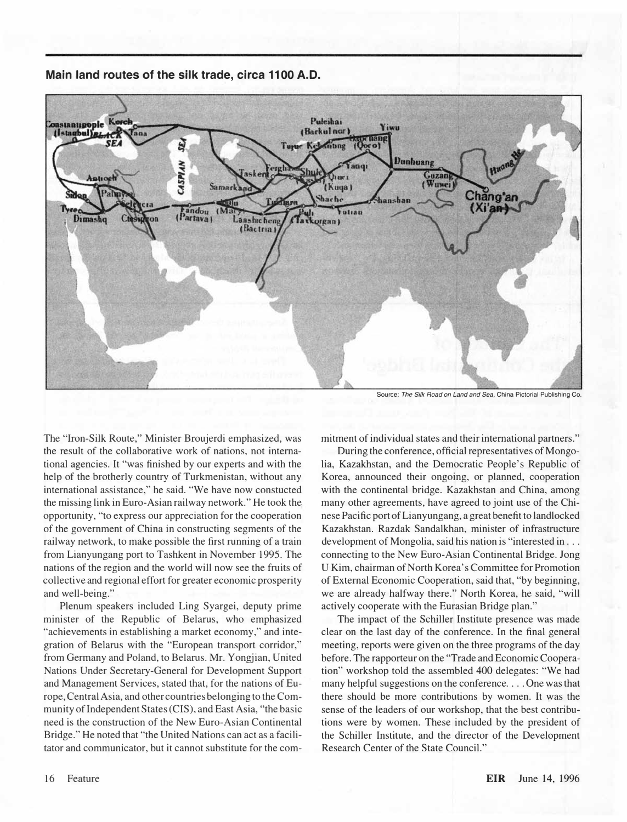

Main land routes of the silk trade, circa 1100 A.D.

Source: The Silk Road on Land and Sea. China Pictorial Publishing Co.

The "Iron-Silk Route," Minister Broujerdi emphasized, was the result of the collaborative work of nations, not international agencies. It "was finished by our experts and with the help of the brotherly country of Turkmenistan, without any international assistance," he said. "We have now constucted the missing link in Euro-Asian railway network." He took the opportunity, "to express our appreciation for the cooperation of the government of China in constructing segments of the railway network, to make possible the first running of a train from Lianyungang port to Tashkent in November 1995. The nations of the region and the world will now see the fruits of collective and regional effort for greater economic prosperity and well-being."

Plenum speakers included Ling Syargei, deputy prime minister of the Republic of Belarus, who emphasized "achievements in establishing a market economy," and integration of Belarus with the "European transport corridor," from Germany and Poland, to Belarus. Mr. Yongjian, United Nations Under Secretary-General for Development Support and Management Services, stated that, for the nations of Europe, Central Asia, and other countries belonging to the Community of Independent States (CIS), and East Asia, "the basic need is the construction of the New Euro-Asian Continental Bridge." He noted that "the United Nations can act as a facilitator and communicator, but it cannot substitute for the commitment of individual states and their international partners."

During the conference, official representatives of Mongolia, Kazakhstan, and the Democratic People's Republic of Korea, announced their ongoing, or planned, cooperation with the continental bridge. Kazakhstan and China, among many other agreements, have agreed to joint use of the Chinese Pacific port of Lianyungang, a great benefit to landlocked Kazakhstan. Razdak Sandalkhan, minister of infrastructure development of Mongolia, said his nation is "interested in . . . connecting to the New Euro-Asian Continental Bridge. Jong U Kim, chairman of North Korea's Committee for Promotion of External Economic Cooperation, said that, "by beginning, we are already halfway there." North Korea, he said, "will actively cooperate with the Eurasian Bridge plan."

The impact of the Schiller Institute presence was made clear on the last day of the conference. In the final general meeting, reports were given on the three programs of the day before. The rapporteur on the "Trade and Economic Cooperation" workshop told the assembled 400 delegates: "We had many helpful suggestions on the conference .... One was that there should be more contributions by women. It was the sense of the leaders of our workshop, that the best contributions were by women. These included by the president of the Schiller Institute, and the director of the Development Research Center of the State Council."